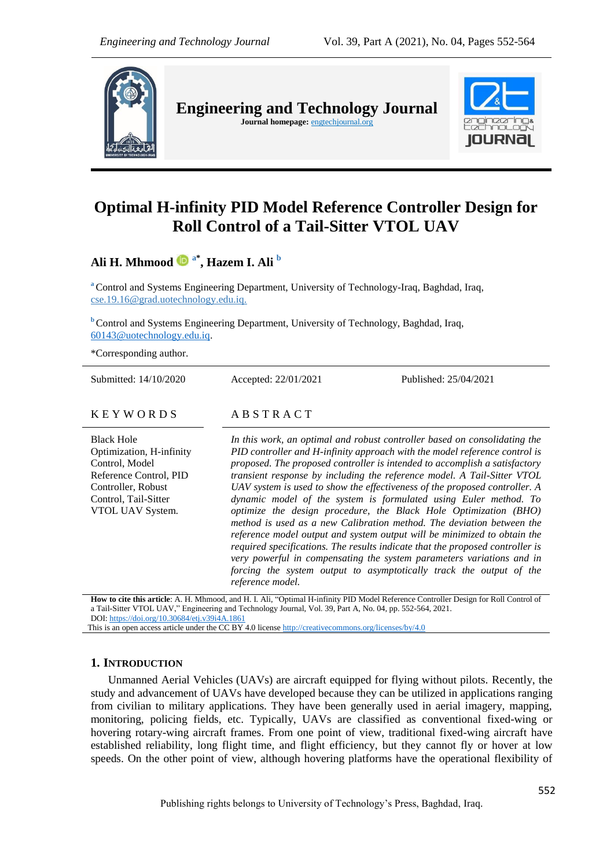

**Engineering and Technology Journal**  Journal homepage: **engtechjournal.org** 



# **Optimal H-infinity PID Model Reference Controller Design for Roll Control of a Tail-Sitter VTOL UAV**

**Ali H. Mhmood a\* , Hazem I. Ali <sup>b</sup>**

**<sup>a</sup>** Control and Systems Engineering Department, University of Technology-Iraq, Baghdad, Iraq, cse.19.16@grad.uotechnology.edu.iq.

**b** Control and Systems Engineering Department, University of Technology, Baghdad, Iraq, [60143@uotechnology.edu.iq.](mailto:60143@uotechnology.edu.iq)

\*Corresponding author.

Submitted: 14/10/2020 Accepted: 22/01/2021 Published: 25/04/2021

# $K E Y W O R D S$   $AB S T R A C T$

Black Hole Optimization, H-infinity Control, Model Reference Control, PID Controller, Robust Control, Tail-Sitter VTOL UAV System*.*

*In this work, an optimal and robust controller based on consolidating the PID controller and H-infinity approach with the model reference control is proposed. The proposed controller is intended to accomplish a satisfactory transient response by including the reference model. A Tail-Sitter VTOL UAV system is used to show the effectiveness of the proposed controller. A dynamic model of the system is formulated using Euler method. To optimize the design procedure, the Black Hole Optimization (BHO) method is used as a new Calibration method. The deviation between the reference model output and system output will be minimized to obtain the required specifications. The results indicate that the proposed controller is very powerful in compensating the system parameters variations and in forcing the system output to asymptotically track the output of the reference model.*

**How to cite this article**: A. H. Mhmood, and H. I. Ali, "Optimal H-infinity PID Model Reference Controller Design for Roll Control of a Tail-Sitter VTOL UAV," Engineering and Technology Journal, Vol. 39, Part A, No. 04, pp. 552-564, 2021. DOI: <https://doi.org/10.30684/etj.v39i4A.1861>

This is an open access article under the CC BY 4.0 licens[e http://creativecommons.org/licenses/by/4.0](http://creativecommons.org/licenses/by/4.0)

# **1. INTRODUCTION**

Unmanned Aerial Vehicles (UAVs) are aircraft equipped for flying without pilots. Recently, the study and advancement of UAVs have developed because they can be utilized in applications ranging from civilian to military applications. They have been generally used in aerial imagery, mapping, monitoring, policing fields, etc. Typically, UAVs are classified as conventional fixed-wing or hovering rotary-wing aircraft frames. From one point of view, traditional fixed-wing aircraft have established reliability, long flight time, and flight efficiency, but they cannot fly or hover at low speeds. On the other point of view, although hovering platforms have the operational flexibility of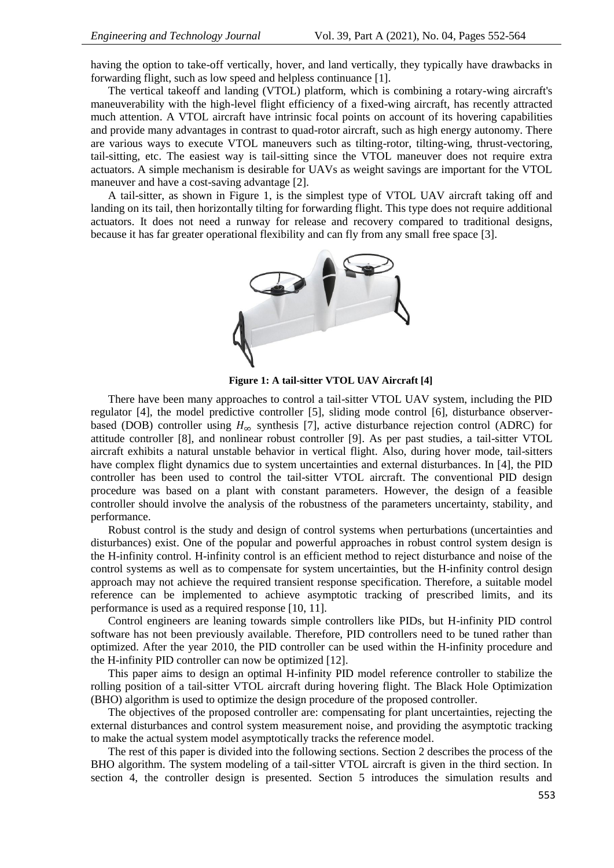having the option to take-off vertically, hover, and land vertically, they typically have drawbacks in forwarding flight, such as low speed and helpless continuance [1].

The vertical takeoff and landing (VTOL) platform, which is combining a rotary-wing aircraft's maneuverability with the high-level flight efficiency of a fixed-wing aircraft, has recently attracted much attention. A VTOL aircraft have intrinsic focal points on account of its hovering capabilities and provide many advantages in contrast to quad-rotor aircraft, such as high energy autonomy. There are various ways to execute VTOL maneuvers such as tilting-rotor, tilting-wing, thrust-vectoring, tail-sitting, etc. The easiest way is tail-sitting since the VTOL maneuver does not require extra actuators. A simple mechanism is desirable for UAVs as weight savings are important for the VTOL maneuver and have a cost-saving advantage [2].

A tail-sitter, as shown in Figure 1, is the simplest type of VTOL UAV aircraft taking off and landing on its tail, then horizontally tilting for forwarding flight. This type does not require additional actuators. It does not need a runway for release and recovery compared to traditional designs, because it has far greater operational flexibility and can fly from any small free space [3].



**Figure 1: A tail-sitter VTOL UAV Aircraft [4]**

There have been many approaches to control a tail-sitter VTOL UAV system, including the PID regulator [4], the model predictive controller [5], sliding mode control [6], disturbance observerbased (DOB) controller using  $H_{\infty}$  synthesis [7], active disturbance rejection control (ADRC) for attitude controller [8], and nonlinear robust controller [9]. As per past studies, a tail-sitter VTOL aircraft exhibits a natural unstable behavior in vertical flight. Also, during hover mode, tail-sitters have complex flight dynamics due to system uncertainties and external disturbances. In [4], the PID controller has been used to control the tail-sitter VTOL aircraft. The conventional PID design procedure was based on a plant with constant parameters. However, the design of a feasible controller should involve the analysis of the robustness of the parameters uncertainty, stability, and performance.

Robust control is the study and design of control systems when perturbations (uncertainties and disturbances) exist. One of the popular and powerful approaches in robust control system design is the H-infinity control. H-infinity control is an efficient method to reject disturbance and noise of the control systems as well as to compensate for system uncertainties, but the H-infinity control design approach may not achieve the required transient response specification. Therefore, a suitable model reference can be implemented to achieve asymptotic tracking of prescribed limits, and its performance is used as a required response [10, 11].

Control engineers are leaning towards simple controllers like PIDs, but H-infinity PID control software has not been previously available. Therefore, PID controllers need to be tuned rather than optimized. After the year 2010, the PID controller can be used within the H-infinity procedure and the H-infinity PID controller can now be optimized [12].

This paper aims to design an optimal H-infinity PID model reference controller to stabilize the rolling position of a tail-sitter VTOL aircraft during hovering flight. The Black Hole Optimization (BHO) algorithm is used to optimize the design procedure of the proposed controller.

The objectives of the proposed controller are: compensating for plant uncertainties, rejecting the external disturbances and control system measurement noise, and providing the asymptotic tracking to make the actual system model asymptotically tracks the reference model.

The rest of this paper is divided into the following sections. Section 2 describes the process of the BHO algorithm. The system modeling of a tail-sitter VTOL aircraft is given in the third section. In section 4, the controller design is presented. Section 5 introduces the simulation results and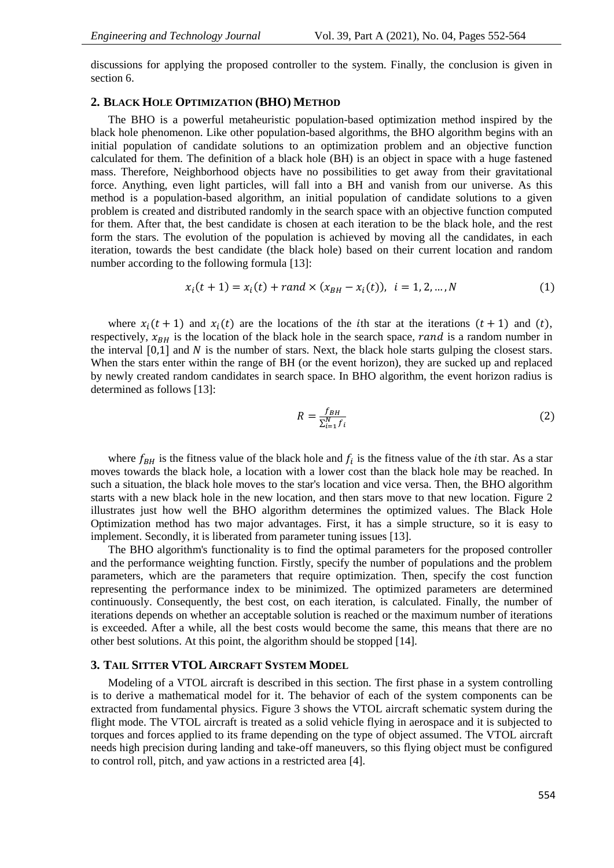discussions for applying the proposed controller to the system. Finally, the conclusion is given in section 6.

# **2. BLACK HOLE OPTIMIZATION (BHO) METHOD**

The BHO is a powerful metaheuristic population-based optimization method inspired by the black hole phenomenon. Like other population-based algorithms, the BHO algorithm begins with an initial population of candidate solutions to an optimization problem and an objective function calculated for them. The definition of a black hole (BH) is an object in space with a huge fastened mass. Therefore, Neighborhood objects have no possibilities to get away from their gravitational force. Anything, even light particles, will fall into a BH and vanish from our universe. As this method is a population-based algorithm, an initial population of candidate solutions to a given problem is created and distributed randomly in the search space with an objective function computed for them. After that, the best candidate is chosen at each iteration to be the black hole, and the rest form the stars. The evolution of the population is achieved by moving all the candidates, in each iteration, towards the best candidate (the black hole) based on their current location and random number according to the following formula [13]:

$$
x_i(t+1) = x_i(t) + rand \times (x_{BH} - x_i(t)), \quad i = 1, 2, ..., N
$$
 (1)

where  $x_i(t + 1)$  and  $x_i(t)$  are the locations of the ith star at the iterations  $(t + 1)$  and  $(t)$ , respectively,  $x_{BH}$  is the location of the black hole in the search space, rand is a random number in the interval  $[0,1]$  and N is the number of stars. Next, the black hole starts gulping the closest stars. When the stars enter within the range of BH (or the event horizon), they are sucked up and replaced by newly created random candidates in search space. In BHO algorithm, the event horizon radius is determined as follows [13]:

$$
R = \frac{f_{BH}}{\sum_{i=1}^{N} f_i} \tag{2}
$$

where  $f_{BH}$  is the fitness value of the black hole and  $f_i$  is the fitness value of the *i*th star. As a star moves towards the black hole, a location with a lower cost than the black hole may be reached. In such a situation, the black hole moves to the star's location and vice versa. Then, the BHO algorithm starts with a new black hole in the new location, and then stars move to that new location. Figure 2 illustrates just how well the BHO algorithm determines the optimized values. The Black Hole Optimization method has two major advantages. First, it has a simple structure, so it is easy to implement. Secondly, it is liberated from parameter tuning issues [13].

The BHO algorithm's functionality is to find the optimal parameters for the proposed controller and the performance weighting function. Firstly, specify the number of populations and the problem parameters, which are the parameters that require optimization. Then, specify the cost function representing the performance index to be minimized. The optimized parameters are determined continuously. Consequently, the best cost, on each iteration, is calculated. Finally, the number of iterations depends on whether an acceptable solution is reached or the maximum number of iterations is exceeded. After a while, all the best costs would become the same, this means that there are no other best solutions. At this point, the algorithm should be stopped [14].

### **3. TAIL SITTER VTOL AIRCRAFT SYSTEM MODEL**

Modeling of a VTOL aircraft is described in this section. The first phase in a system controlling is to derive a mathematical model for it. The behavior of each of the system components can be extracted from fundamental physics. Figure 3 shows the VTOL aircraft schematic system during the flight mode. The VTOL aircraft is treated as a solid vehicle flying in aerospace and it is subjected to torques and forces applied to its frame depending on the type of object assumed. The VTOL aircraft needs high precision during landing and take-off maneuvers, so this flying object must be configured to control roll, pitch, and yaw actions in a restricted area [4].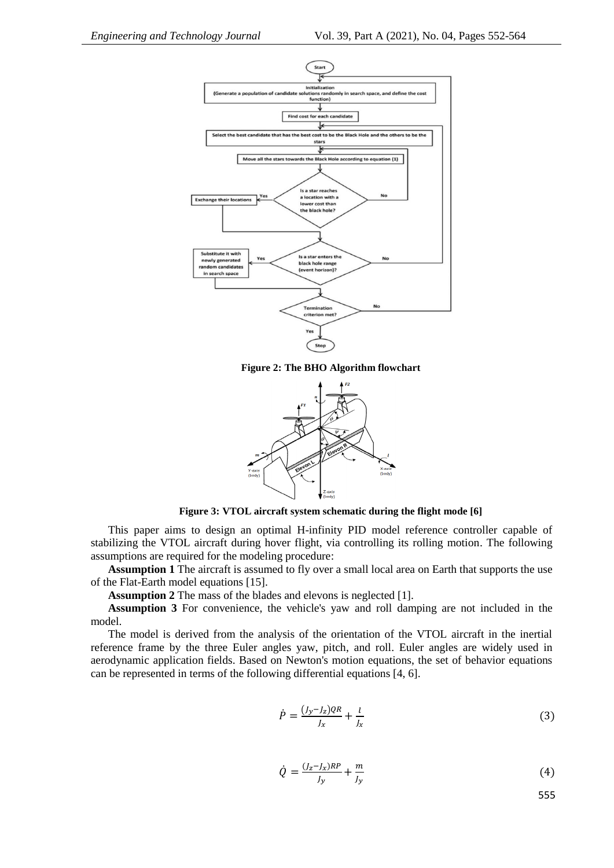

**Figure 2: The BHO Algorithm flowchart**



**Figure 3: VTOL aircraft system schematic during the flight mode [6]**

This paper aims to design an optimal H-infinity PID model reference controller capable of stabilizing the VTOL aircraft during hover flight, via controlling its rolling motion. The following assumptions are required for the modeling procedure:

**Assumption 1** The aircraft is assumed to fly over a small local area on Earth that supports the use of the Flat-Earth model equations [15].

**Assumption 2** The mass of the blades and elevons is neglected [1].

**Assumption 3** For convenience, the vehicle's yaw and roll damping are not included in the model.

The model is derived from the analysis of the orientation of the VTOL aircraft in the inertial reference frame by the three Euler angles yaw, pitch, and roll. Euler angles are widely used in aerodynamic application fields. Based on Newton's motion equations, the set of behavior equations can be represented in terms of the following differential equations [4, 6].

$$
\dot{P} = \frac{(J_y - J_z)QR}{J_x} + \frac{l}{J_x} \tag{3}
$$

$$
\dot{Q} = \frac{(J_z - J_x)RP}{J_y} + \frac{m}{J_y} \tag{4}
$$

555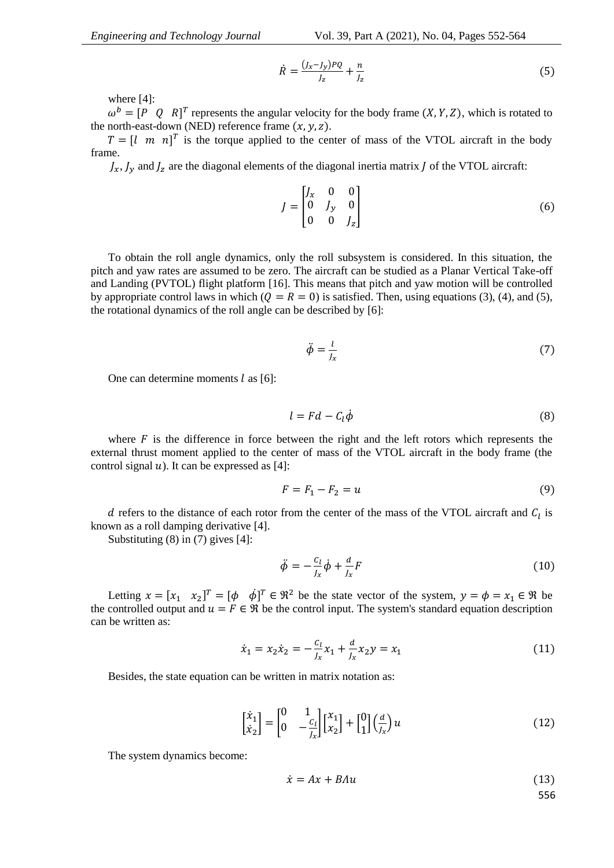$$
\dot{R} = \frac{(J_x - J_y)PQ}{J_z} + \frac{n}{J_z} \tag{5}
$$

where [4]:

 $\omega^b = [P \ Q \ R]^T$  represents the angular velocity for the body frame  $(X, Y, Z)$ , which is rotated to the north-east-down (NED) reference frame  $(x, y, z)$ .

 $T = \begin{bmatrix} l & m & n \end{bmatrix}^T$  is the torque applied to the center of mass of the VTOL aircraft in the body frame.

 $J_x, J_y$  and  $J_z$  are the diagonal elements of the diagonal inertia matrix J of the VTOL aircraft:

$$
J = \begin{bmatrix} J_x & 0 & 0 \\ 0 & J_y & 0 \\ 0 & 0 & J_z \end{bmatrix}
$$
 (6)

To obtain the roll angle dynamics, only the roll subsystem is considered. In this situation, the pitch and yaw rates are assumed to be zero. The aircraft can be studied as a Planar Vertical Take-off and Landing (PVTOL) flight platform [16]. This means that pitch and yaw motion will be controlled by appropriate control laws in which  $(Q = R = 0)$  is satisfied. Then, using equations (3), (4), and (5), the rotational dynamics of the roll angle can be described by [6]:

$$
\ddot{\phi} = \frac{l}{J_x} \tag{7}
$$

One can determine moments  $l$  as [6]:

$$
l = Fd - C_l \dot{\phi} \tag{8}
$$

where  $\vec{F}$  is the difference in force between the right and the left rotors which represents the external thrust moment applied to the center of mass of the VTOL aircraft in the body frame (the control signal  $u$ ). It can be expressed as [4]:

$$
F = F_1 - F_2 = u \tag{9}
$$

d refers to the distance of each rotor from the center of the mass of the VTOL aircraft and  $C_l$  is known as a roll damping derivative [4].

Substituting (8) in (7) gives [4]:

$$
\ddot{\phi} = -\frac{c_l}{l_x} \dot{\phi} + \frac{d}{l_x} F \tag{10}
$$

Letting  $x = [x_1 \ x_2]^T = [\phi \ \dot{\phi}]^T \in \mathbb{R}^2$  be the state vector of the system,  $y = \phi = x_1 \in \mathbb{R}$  be the controlled output and  $u = F \in \mathcal{R}$  be the control input. The system's standard equation description can be written as:

$$
\dot{x}_1 = x_2 \dot{x}_2 = -\frac{c_1}{J_x} x_1 + \frac{d}{J_x} x_2 y = x_1 \tag{11}
$$

Besides, the state equation can be written in matrix notation as:

$$
\begin{bmatrix} \dot{x}_1 \\ \dot{x}_2 \end{bmatrix} = \begin{bmatrix} 0 & 1 \\ 0 & -\frac{c_l}{J_x} \end{bmatrix} \begin{bmatrix} x_1 \\ x_2 \end{bmatrix} + \begin{bmatrix} 0 \\ 1 \end{bmatrix} \left(\frac{d}{J_x}\right) u \tag{12}
$$

The system dynamics become:

$$
\dot{x} = Ax + B\Lambda u \tag{13}
$$

556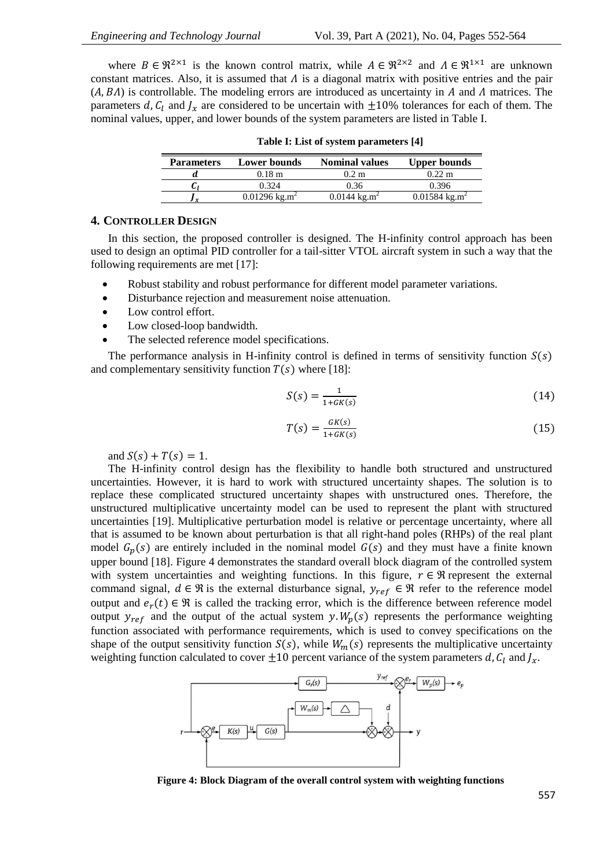where  $B \in \mathbb{R}^{2 \times 1}$  is the known control matrix, while  $A \in \mathbb{R}^{2 \times 2}$  and  $A \in \mathbb{R}^{1 \times 1}$  are unknown constant matrices. Also, it is assumed that  $\Lambda$  is a diagonal matrix with positive entries and the pair  $(A, BA)$  is controllable. The modeling errors are introduced as uncertainty in A and A matrices. The parameters d,  $C_l$  and  $J_x$  are considered to be uncertain with  $\pm 10\%$  tolerances for each of them. The nominal values, upper, and lower bounds of the system parameters are listed in Table I.

| <b>Parameters</b> | Lower bounds                | <b>Nominal values</b>                | <b>Upper bounds</b>             |
|-------------------|-----------------------------|--------------------------------------|---------------------------------|
|                   | $0.18 \; \mathrm{m}$        | $0.2 \text{ m}$                      | $0.22 \; \mathrm{m}$            |
|                   | 0.324                       | 0.36                                 | 0.396                           |
|                   | $0.01296$ kg.m <sup>2</sup> | $0.0144 \text{ kg} \cdot \text{m}^2$ | $0.01584 \text{ kg}.\text{m}^2$ |

**Table I: List of system parameters [4]**

# **4. CONTROLLER DESIGN**

In this section, the proposed controller is designed. The H-infinity control approach has been used to design an optimal PID controller for a tail-sitter VTOL aircraft system in such a way that the following requirements are met [17]:

- Robust stability and robust performance for different model parameter variations.
- Disturbance rejection and measurement noise attenuation.
- Low control effort.
- Low closed-loop bandwidth.
- The selected reference model specifications.

The performance analysis in H-infinity control is defined in terms of sensitivity function  $S(s)$ and complementary sensitivity function  $T(s)$  where [18]:

$$
S(s) = \frac{1}{1 + G K(s)}\tag{14}
$$

$$
T(s) = \frac{GK(s)}{1 + GK(s)}\tag{15}
$$

and  $S(s) + T(s) = 1$ .

The H-infinity control design has the flexibility to handle both structured and unstructured uncertainties. However, it is hard to work with structured uncertainty shapes. The solution is to replace these complicated structured uncertainty shapes with unstructured ones. Therefore, the unstructured multiplicative uncertainty model can be used to represent the plant with structured uncertainties [19]. Multiplicative perturbation model is relative or percentage uncertainty, where all that is assumed to be known about perturbation is that all right-hand poles (RHPs) of the real plant model  $G_n(s)$  are entirely included in the nominal model  $G(s)$  and they must have a finite known upper bound [18]. Figure 4 demonstrates the standard overall block diagram of the controlled system with system uncertainties and weighting functions. In this figure,  $r \in \Re$  represent the external command signal,  $d \in \mathcal{R}$  is the external disturbance signal,  $y_{ref} \in \mathcal{R}$  refer to the reference model output and  $e_r(t) \in \Re$  is called the tracking error, which is the difference between reference model output  $y_{ref}$  and the output of the actual system y.  $W_n(s)$  represents the performance weighting function associated with performance requirements, which is used to convey specifications on the shape of the output sensitivity function  $S(s)$ , while  $W_m(s)$  represents the multiplicative uncertainty weighting function calculated to cover  $\pm 10$  percent variance of the system parameters d,  $C_l$  and  $J_x$ .



**Figure 4: Block Diagram of the overall control system with weighting functions**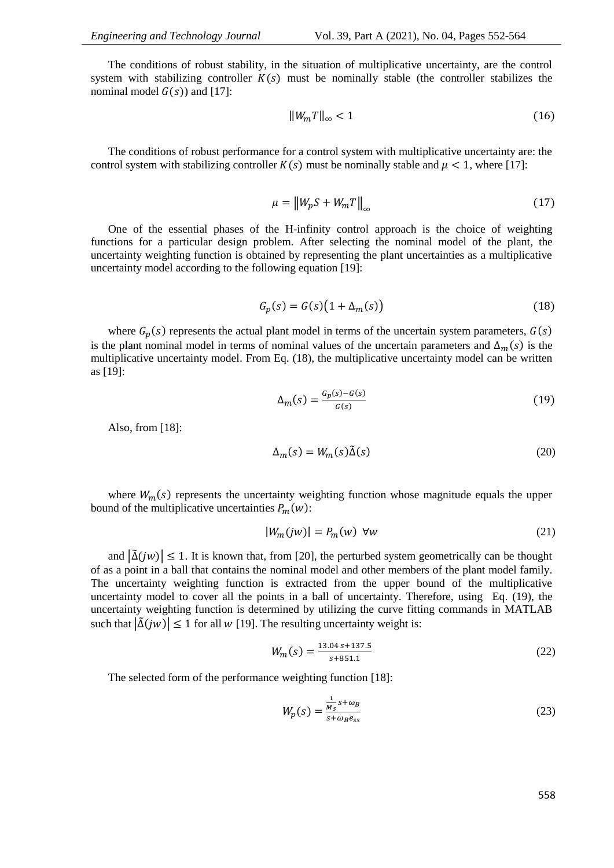The conditions of robust stability, in the situation of multiplicative uncertainty, are the control system with stabilizing controller  $K(s)$  must be nominally stable (the controller stabilizes the nominal model  $G(s)$ ) and [17]:

$$
||W_m T||_{\infty} < 1 \tag{16}
$$

The conditions of robust performance for a control system with multiplicative uncertainty are: the control system with stabilizing controller  $K(s)$  must be nominally stable and  $\mu < 1$ , where [17]:

$$
\mu = \|W_p S + W_m T\|_{\infty} \tag{17}
$$

One of the essential phases of the H-infinity control approach is the choice of weighting functions for a particular design problem. After selecting the nominal model of the plant, the uncertainty weighting function is obtained by representing the plant uncertainties as a multiplicative uncertainty model according to the following equation [19]:

$$
G_p(s) = G(s)\left(1 + \Delta_m(s)\right) \tag{18}
$$

where  $G_p(s)$  represents the actual plant model in terms of the uncertain system parameters,  $G(s)$ is the plant nominal model in terms of nominal values of the uncertain parameters and  $\Delta_m(s)$  is the multiplicative uncertainty model. From Eq. (18), the multiplicative uncertainty model can be written as [19]:

$$
\Delta_m(s) = \frac{G_p(s) - G(s)}{G(s)}\tag{19}
$$

Also, from [18]:

$$
\Delta_m(s) = W_m(s)\tilde{\Delta}(s) \tag{20}
$$

where  $W_m(s)$  represents the uncertainty weighting function whose magnitude equals the upper bound of the multiplicative uncertainties  $P_m(w)$ :

$$
|W_m(jw)| = P_m(w) \quad \forall w \tag{21}
$$

and  $|\tilde{\Delta}(jw)| \leq 1$ . It is known that, from [20], the perturbed system geometrically can be thought of as a point in a ball that contains the nominal model and other members of the plant model family. The uncertainty weighting function is extracted from the upper bound of the multiplicative uncertainty model to cover all the points in a ball of uncertainty. Therefore, using Eq. (19), the uncertainty weighting function is determined by utilizing the curve fitting commands in MATLAB such that  $|\tilde{\Delta}(iw)| \le 1$  for all w [19]. The resulting uncertainty weight is:

$$
W_m(s) = \frac{13.04 s + 137.5}{s + 851.1}
$$
 (22)

The selected form of the performance weighting function [18]:

$$
W_p(s) = \frac{\frac{1}{M_s}s + \omega_B}{s + \omega_B e_{ss}}\tag{23}
$$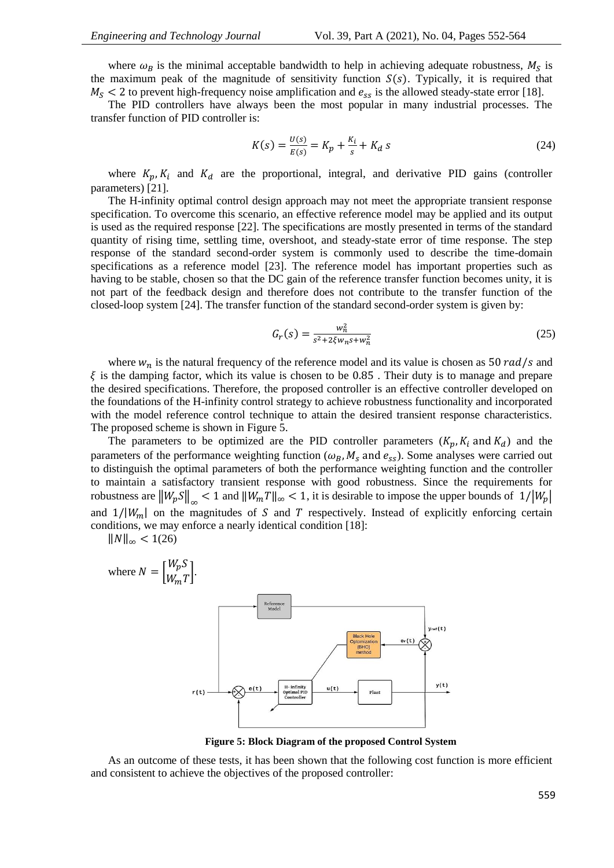where  $\omega_B$  is the minimal acceptable bandwidth to help in achieving adequate robustness,  $M_S$  is the maximum peak of the magnitude of sensitivity function  $S(s)$ . Typically, it is required that  $M<sub>S</sub>$  < 2 to prevent high-frequency noise amplification and  $e<sub>ss</sub>$  is the allowed steady-state error [18].

The PID controllers have always been the most popular in many industrial processes. The transfer function of PID controller is:

$$
K(s) = \frac{U(s)}{E(s)} = K_p + \frac{K_i}{s} + K_d \, s \tag{24}
$$

where  $K_p, K_i$  and  $K_d$  are the proportional, integral, and derivative PID gains (controller parameters) [21].

The H-infinity optimal control design approach may not meet the appropriate transient response specification. To overcome this scenario, an effective reference model may be applied and its output is used as the required response [22]. The specifications are mostly presented in terms of the standard quantity of rising time, settling time, overshoot, and steady-state error of time response. The step response of the standard second-order system is commonly used to describe the time-domain specifications as a reference model [23]. The reference model has important properties such as having to be stable, chosen so that the DC gain of the reference transfer function becomes unity, it is not part of the feedback design and therefore does not contribute to the transfer function of the closed-loop system [24]. The transfer function of the standard second-order system is given by:

$$
G_r(s) = \frac{w_n^2}{s^2 + 2\xi w_n s + w_n^2}
$$
 (25)

where  $w_n$  is the natural frequency of the reference model and its value is chosen as 50 rad/s and  $\xi$  is the damping factor, which its value is chosen to be 0.85. Their duty is to manage and prepare the desired specifications. Therefore, the proposed controller is an effective controller developed on the foundations of the H-infinity control strategy to achieve robustness functionality and incorporated with the model reference control technique to attain the desired transient response characteristics. The proposed scheme is shown in Figure 5.

The parameters to be optimized are the PID controller parameters  $(K_p, K_i \text{ and } K_d)$  and the parameters of the performance weighting function ( $\omega_B$ ,  $M_s$  and  $e_{ss}$ ). Some analyses were carried out to distinguish the optimal parameters of both the performance weighting function and the controller to maintain a satisfactory transient response with good robustness. Since the requirements for robustness are  $||W_p S||_{\infty} < 1$  and  $||W_m T||_{\infty} < 1$ , it is desirable to impose the upper bounds of  $1/|W_p|$ and  $1/|W_m|$  on the magnitudes of S and T respectively. Instead of explicitly enforcing certain conditions, we may enforce a nearly identical condition [18]:

 $||N||_{\infty} < 1(26)$ 



**Figure 5: Block Diagram of the proposed Control System**

As an outcome of these tests, it has been shown that the following cost function is more efficient and consistent to achieve the objectives of the proposed controller: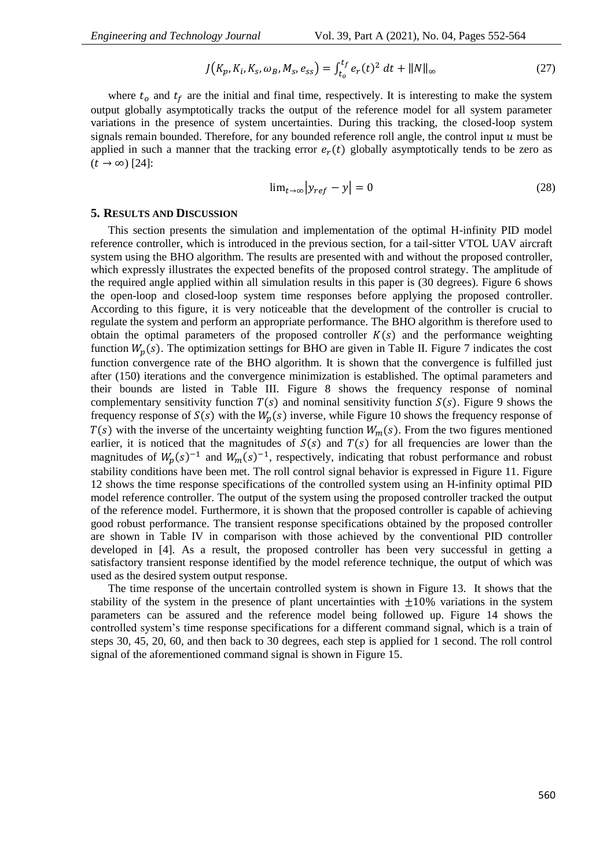$$
J(K_p, K_i, K_s, \omega_B, M_s, e_{ss}) = \int_{t_o}^{t_f} e_r(t)^2 dt + ||N||_{\infty}
$$
 (27)

where  $t_0$  and  $t_f$  are the initial and final time, respectively. It is interesting to make the system output globally asymptotically tracks the output of the reference model for all system parameter variations in the presence of system uncertainties. During this tracking, the closed-loop system signals remain bounded. Therefore, for any bounded reference roll angle, the control input  $u$  must be applied in such a manner that the tracking error  $e_r(t)$  globally asymptotically tends to be zero as  $(t \rightarrow \infty)$  [24]:

$$
\lim_{t \to \infty} |y_{ref} - y| = 0 \tag{28}
$$

#### **5. RESULTS AND DISCUSSION**

This section presents the simulation and implementation of the optimal H-infinity PID model reference controller, which is introduced in the previous section, for a tail-sitter VTOL UAV aircraft system using the BHO algorithm. The results are presented with and without the proposed controller, which expressly illustrates the expected benefits of the proposed control strategy. The amplitude of the required angle applied within all simulation results in this paper is (30 degrees). Figure 6 shows the open-loop and closed-loop system time responses before applying the proposed controller. According to this figure, it is very noticeable that the development of the controller is crucial to regulate the system and perform an appropriate performance. The BHO algorithm is therefore used to obtain the optimal parameters of the proposed controller  $K(s)$  and the performance weighting function  $W_p(s)$ . The optimization settings for BHO are given in Table II. Figure 7 indicates the cost function convergence rate of the BHO algorithm. It is shown that the convergence is fulfilled just after (150) iterations and the convergence minimization is established. The optimal parameters and their bounds are listed in Table III. Figure 8 shows the frequency response of nominal complementary sensitivity function  $T(s)$  and nominal sensitivity function  $S(s)$ . Figure 9 shows the frequency response of  $S(s)$  with the  $W_p(s)$  inverse, while Figure 10 shows the frequency response of  $T(s)$  with the inverse of the uncertainty weighting function  $W_m(s)$ . From the two figures mentioned earlier, it is noticed that the magnitudes of  $S(s)$  and  $T(s)$  for all frequencies are lower than the magnitudes of  $W_p(s)^{-1}$  and  $W_m(s)^{-1}$ , respectively, indicating that robust performance and robust stability conditions have been met. The roll control signal behavior is expressed in Figure 11. Figure 12 shows the time response specifications of the controlled system using an H-infinity optimal PID model reference controller. The output of the system using the proposed controller tracked the output of the reference model. Furthermore, it is shown that the proposed controller is capable of achieving good robust performance. The transient response specifications obtained by the proposed controller are shown in Table IV in comparison with those achieved by the conventional PID controller developed in [4]. As a result, the proposed controller has been very successful in getting a satisfactory transient response identified by the model reference technique, the output of which was used as the desired system output response.

The time response of the uncertain controlled system is shown in Figure 13. It shows that the stability of the system in the presence of plant uncertainties with  $\pm 10\%$  variations in the system parameters can be assured and the reference model being followed up. Figure 14 shows the controlled system's time response specifications for a different command signal, which is a train of steps 30, 45, 20, 60, and then back to 30 degrees, each step is applied for 1 second. The roll control signal of the aforementioned command signal is shown in Figure 15.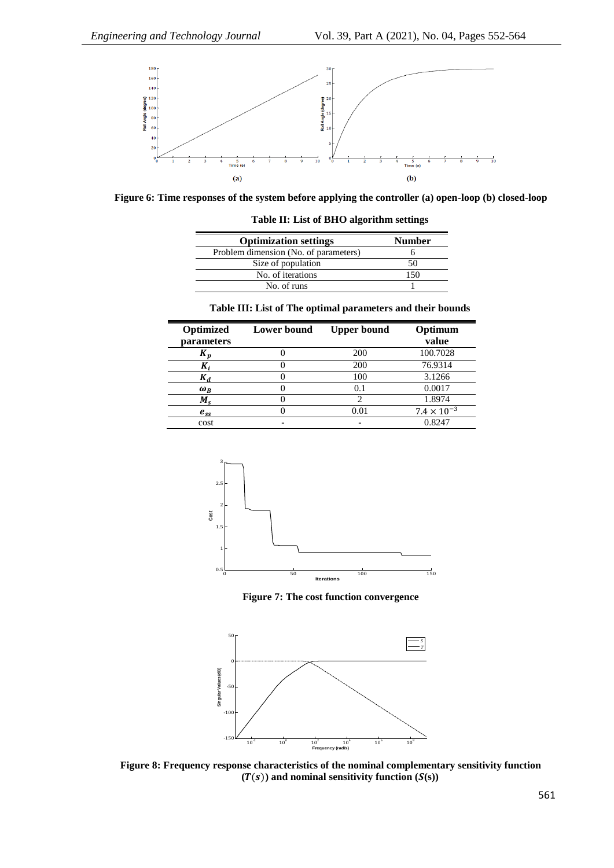

**Figure 6: Time responses of the system before applying the controller (a) open-loop (b) closed-loop**

| <b>Optimization settings</b>          | <b>Number</b> |
|---------------------------------------|---------------|
| Problem dimension (No. of parameters) |               |
| Size of population                    | 50            |
| No. of iterations                     | 150           |
| No. of runs                           |               |

### **Table II: List of BHO algorithm settings**

### **Table III: List of The optimal parameters and their bounds**

| Optimized      | <b>Lower</b> bound | <b>Upper bound</b> | Optimum              |
|----------------|--------------------|--------------------|----------------------|
| parameters     |                    |                    | value                |
| K <sub>n</sub> |                    | 200                | 100.7028             |
| Λ,             |                    | 200                | 76.9314              |
| $K_{\alpha}$   |                    | 100                | 3.1266               |
| $\omega_R$     |                    | 0.1                | 0.0017               |
| $M_{\rm c}$    |                    |                    | 1.8974               |
| $e_{ss}$       |                    | 0.01               | $7.4 \times 10^{-3}$ |
| cost           |                    |                    | 0.8247               |



**Figure 7: The cost function convergence**



**Figure 8: Frequency response characteristics of the nominal complementary sensitivity function**   $(T(s))$  and nominal sensitivity function  $(S(s))$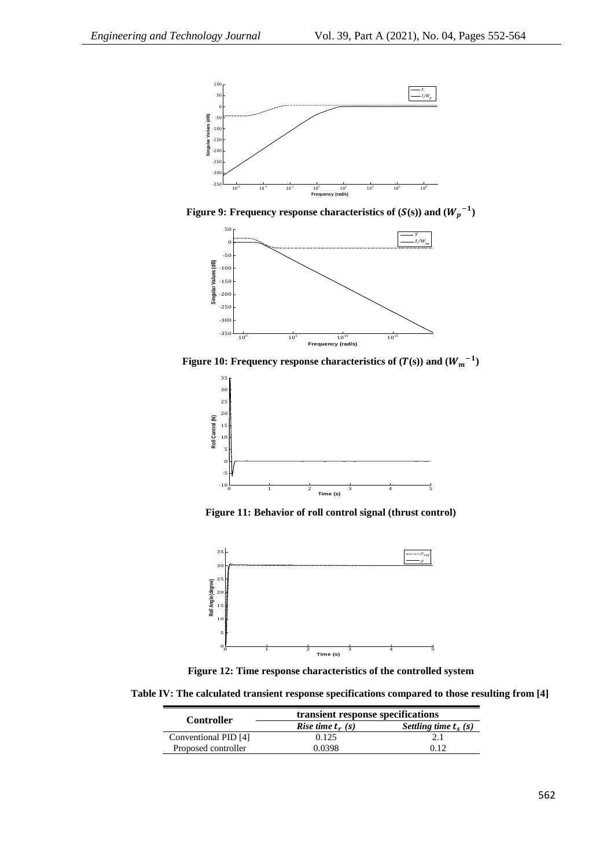

**Figure 9:** Frequency response characteristics of  $(S(s))$  and  $(W_p^{-1})$ 



**Figure 10: Frequency response characteristics of**  $(T(s))$  **and**  $(W_m^{-1})$ 



**Figure 11: Behavior of roll control signal (thrust control)**



**Figure 12: Time response characteristics of the controlled system**

**Table IV: The calculated transient response specifications compared to those resulting from [4]**

| <b>Controller</b>    | transient response specifications    |                        |  |
|----------------------|--------------------------------------|------------------------|--|
|                      | <i>Rise time <math>t_r(s)</math></i> | Settling time $t_s(s)$ |  |
| Conventional PID [4] | 0.125                                |                        |  |
| Proposed controller  | 0.0398                               | በ 12                   |  |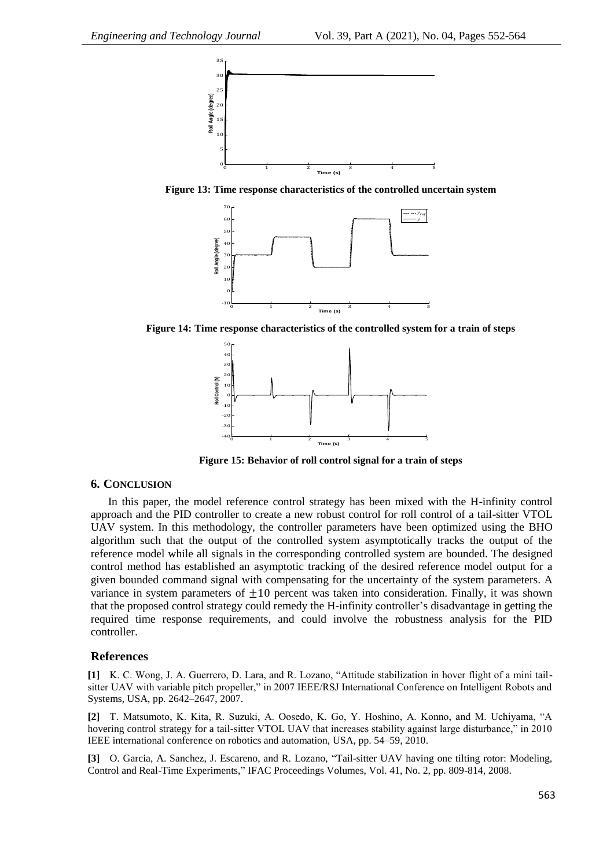

**Figure 13: Time response characteristics of the controlled uncertain system**



**Figure 14: Time response characteristics of the controlled system for a train of steps**



**Figure 15: Behavior of roll control signal for a train of steps**

# **6. CONCLUSION**

In this paper, the model reference control strategy has been mixed with the H-infinity control approach and the PID controller to create a new robust control for roll control of a tail-sitter VTOL UAV system. In this methodology, the controller parameters have been optimized using the BHO algorithm such that the output of the controlled system asymptotically tracks the output of the reference model while all signals in the corresponding controlled system are bounded. The designed control method has established an asymptotic tracking of the desired reference model output for a given bounded command signal with compensating for the uncertainty of the system parameters. A variance in system parameters of  $+10$  percent was taken into consideration. Finally, it was shown that the proposed control strategy could remedy the H-infinity controller's disadvantage in getting the required time response requirements, and could involve the robustness analysis for the PID controller.

#### **References**

**[1]** K. C. Wong, J. A. Guerrero, D. Lara, and R. Lozano, "Attitude stabilization in hover flight of a mini tailsitter UAV with variable pitch propeller," in 2007 IEEE/RSJ International Conference on Intelligent Robots and Systems, USA, pp. 2642–2647, 2007.

**[2]** T. Matsumoto, K. Kita, R. Suzuki, A. Oosedo, K. Go, Y. Hoshino, A. Konno, and M. Uchiyama, "A hovering control strategy for a tail-sitter VTOL UAV that increases stability against large disturbance," in 2010 IEEE international conference on robotics and automation, USA, pp. 54–59, 2010.

**[3]** O. Garcia, A. Sanchez, J. Escareno, and R. Lozano, "Tail-sitter UAV having one tilting rotor: Modeling, Control and Real-Time Experiments," IFAC Proceedings Volumes, Vol. 41, No. 2, pp. 809-814, 2008.